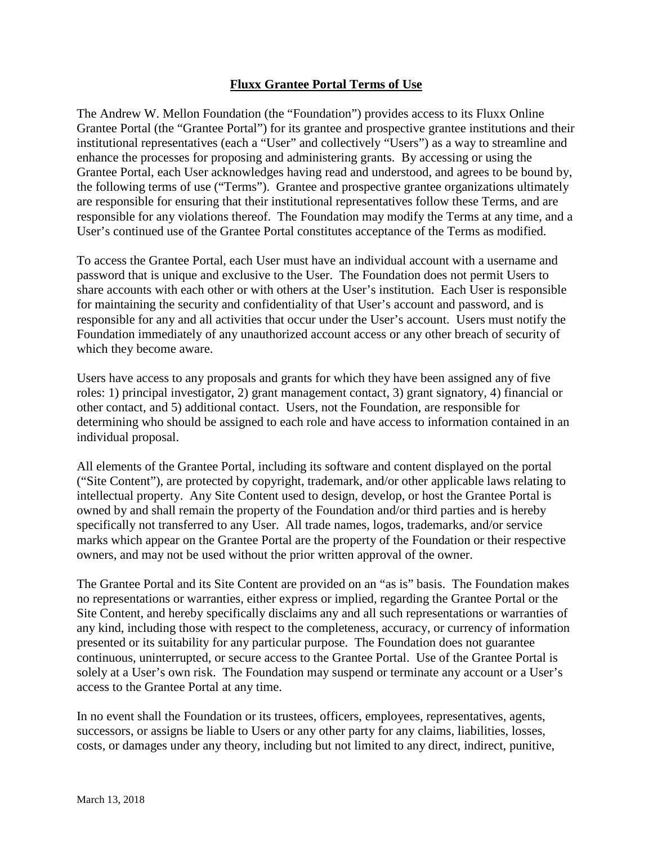## **Fluxx Grantee Portal Terms of Use**

The Andrew W. Mellon Foundation (the "Foundation") provides access to its Fluxx Online Grantee Portal (the "Grantee Portal") for its grantee and prospective grantee institutions and their institutional representatives (each a "User" and collectively "Users") as a way to streamline and enhance the processes for proposing and administering grants. By accessing or using the Grantee Portal, each User acknowledges having read and understood, and agrees to be bound by, the following terms of use ("Terms"). Grantee and prospective grantee organizations ultimately are responsible for ensuring that their institutional representatives follow these Terms, and are responsible for any violations thereof. The Foundation may modify the Terms at any time, and a User's continued use of the Grantee Portal constitutes acceptance of the Terms as modified.

To access the Grantee Portal, each User must have an individual account with a username and password that is unique and exclusive to the User. The Foundation does not permit Users to share accounts with each other or with others at the User's institution. Each User is responsible for maintaining the security and confidentiality of that User's account and password, and is responsible for any and all activities that occur under the User's account. Users must notify the Foundation immediately of any unauthorized account access or any other breach of security of which they become aware.

Users have access to any proposals and grants for which they have been assigned any of five roles: 1) principal investigator, 2) grant management contact, 3) grant signatory, 4) financial or other contact, and 5) additional contact. Users, not the Foundation, are responsible for determining who should be assigned to each role and have access to information contained in an individual proposal.

All elements of the Grantee Portal, including its software and content displayed on the portal ("Site Content"), are protected by copyright, trademark, and/or other applicable laws relating to intellectual property. Any Site Content used to design, develop, or host the Grantee Portal is owned by and shall remain the property of the Foundation and/or third parties and is hereby specifically not transferred to any User. All trade names, logos, trademarks, and/or service marks which appear on the Grantee Portal are the property of the Foundation or their respective owners, and may not be used without the prior written approval of the owner.

The Grantee Portal and its Site Content are provided on an "as is" basis. The Foundation makes no representations or warranties, either express or implied, regarding the Grantee Portal or the Site Content, and hereby specifically disclaims any and all such representations or warranties of any kind, including those with respect to the completeness, accuracy, or currency of information presented or its suitability for any particular purpose. The Foundation does not guarantee continuous, uninterrupted, or secure access to the Grantee Portal. Use of the Grantee Portal is solely at a User's own risk. The Foundation may suspend or terminate any account or a User's access to the Grantee Portal at any time.

In no event shall the Foundation or its trustees, officers, employees, representatives, agents, successors, or assigns be liable to Users or any other party for any claims, liabilities, losses, costs, or damages under any theory, including but not limited to any direct, indirect, punitive,